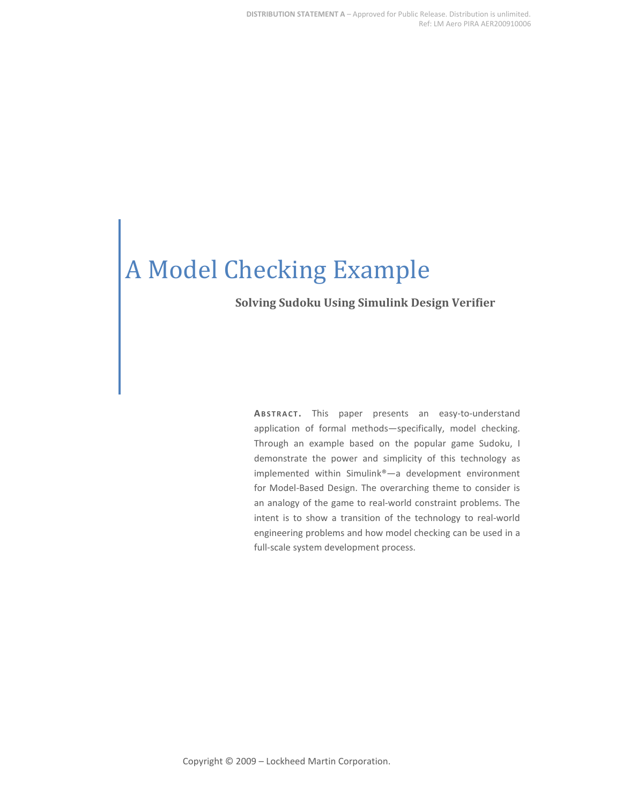# A Model Checking Example

#### **Solving Sudoku Using Simulink Design Verifier**

**ABSTRACT .** This paper presents an easy-to-understand application of formal methods—specifically, model checking. Through an example based on the popular game Sudoku, I demonstrate the power and simplicity of this technology as implemented within Simulink®—a development environment for Model-Based Design. The overarching theme to consider is an analogy of the game to real-world constraint problems. The intent is to show a transition of the technology to real-world engineering problems and how model checking can be used in a full-scale system development process.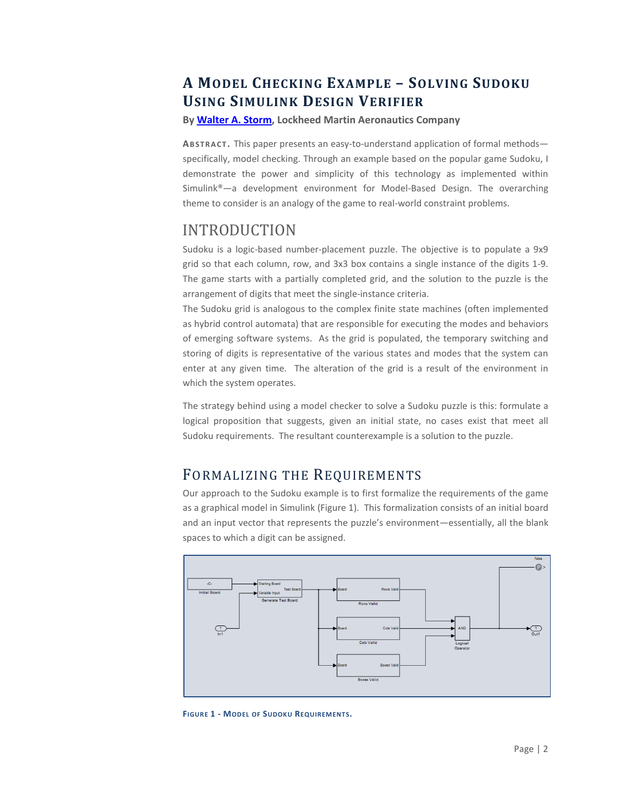## **A MODEL CHECKING EXAMPLE – SOLVING SUDOKU USING SIMULINK DESIGN VERIFIER**

**By [Walter A. Storm,](mailto:walter.a.storm@lmco.com) Lockheed Martin Aeronautics Company**

**ABSTRACT .** This paper presents an easy-to-understand application of formal methods specifically, model checking. Through an example based on the popular game Sudoku, I demonstrate the power and simplicity of this technology as implemented within Simulink®—a development environment for Model-Based Design. The overarching theme to consider is an analogy of the game to real-world constraint problems.

## INTRODUCTION

Sudoku is a logic-based number-placement puzzle. The objective is to populate a 9x9 grid so that each column, row, and 3x3 box contains a single instance of the digits 1-9. The game starts with a partially completed grid, and the solution to the puzzle is the arrangement of digits that meet the single-instance criteria.

The Sudoku grid is analogous to the complex finite state machines (often implemented as hybrid control automata) that are responsible for executing the modes and behaviors of emerging software systems. As the grid is populated, the temporary switching and storing of digits is representative of the various states and modes that the system can enter at any given time. The alteration of the grid is a result of the environment in which the system operates.

The strategy behind using a model checker to solve a Sudoku puzzle is this: formulate a logical proposition that suggests, given an initial state, no cases exist that meet all Sudoku requirements. The resultant counterexample is a solution to the puzzle.

#### FORMALIZING THE REQUIREMENTS

Our approach to the Sudoku example is to first formalize the requirements of the game as a graphical model in Simulink (Figure 1). This formalization consists of an initial board and an input vector that represents the puzzle's environment—essentially, all the blank spaces to which a digit can be assigned.



**FIGURE 1 - MODEL OF SUDOKU REQUIREMENTS.**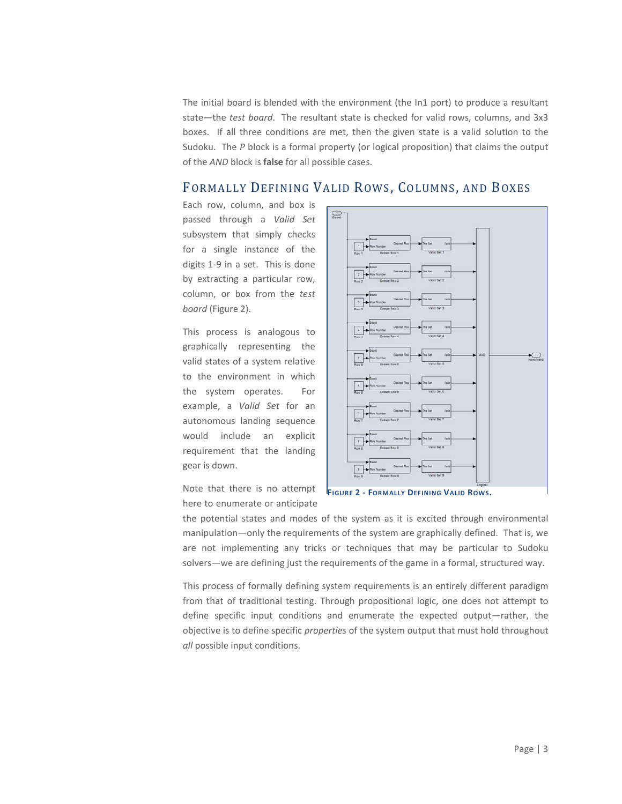The initial board is blended with the environment (the In1 port) to produce a resultant state—the *test board*. The resultant state is checked for valid rows, columns, and 3x3 boxes. If all three conditions are met, then the given state is a valid solution to the Sudoku. The *P* block is a formal property (or logical proposition) that claims the output of the *AND* block is **false** for all possible cases.

#### FORMALLY DEFINING VALID ROWS, COLUMNS, AND BOXES

Each row, column, and box is passed through a *Valid Set* subsystem that simply checks for a single instance of the digits 1-9 in a set. This is done by extracting a particular row, column, or box from the *test board* (Figure 2).

This process is analogous to graphically representing the valid states of a system relative to the environment in which the system operates. For example, a *Valid Set* for an autonomous landing sequence would include an explicit requirement that the landing gear is down.



Note that there is no attempt here to enumerate or anticipate

**FIGURE 2 - FORMALLY DEFINING VALID ROWS.**

the potential states and modes of the system as it is excited through environmental manipulation—only the requirements of the system are graphically defined. That is, we are not implementing any tricks or techniques that may be particular to Sudoku solvers—we are defining just the requirements of the game in a formal, structured way.

This process of formally defining system requirements is an entirely different paradigm from that of traditional testing. Through propositional logic, one does not attempt to define specific input conditions and enumerate the expected output—rather, the objective is to define specific *properties* of the system output that must hold throughout *all* possible input conditions.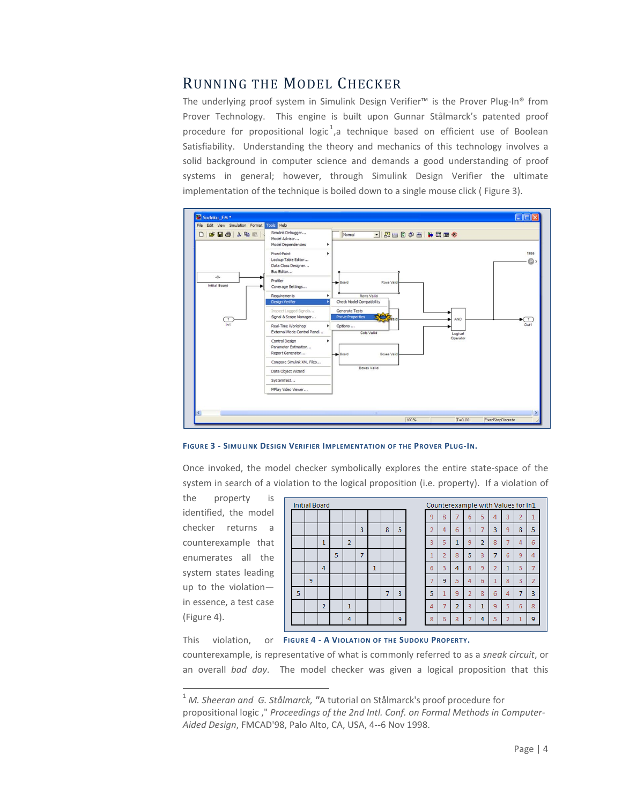#### RUNNING THE MODEL CHECKER

The underlying proof system in Simulink Design Verifier™ is the Prover Plug-In® from Prover Technology. This engine is built upon Gunnar Stålmarck's patented proof procedure for propositional logic<sup>[1](#page-3-0)</sup>, a technique based on efficient use of Boolean Satisfiability. Understanding the theory and mechanics of this technology involves a solid background in computer science and demands a good understanding of proof systems in general; however, through Simulink Design Verifier the ultimate implementation of the technique is boiled down to a single mouse click ( Figure 3).





Once invoked, the model checker symbolically explores the entire state-space of the system in search of a violation to the logical proposition (i.e. property). If a violation of

the property is identified, the model checker returns a counterexample that enumerates all the system states leading up to the violation in essence, a test case (Figure 4).

|                | <b>Initial Board</b> |                |   |                |   |              |                |                         | c |
|----------------|----------------------|----------------|---|----------------|---|--------------|----------------|-------------------------|---|
|                |                      |                |   |                |   |              |                |                         | j |
|                |                      |                |   |                | 3 |              | 8              | 5                       |   |
|                |                      | 1              |   | $\overline{2}$ |   |              |                |                         |   |
|                |                      |                | 5 |                | 7 |              |                |                         |   |
|                |                      | $\overline{4}$ |   |                |   | $\mathbf{1}$ |                |                         | I |
|                | 9                    |                |   |                |   |              |                |                         |   |
| $\overline{5}$ |                      |                |   |                |   |              | $\overline{7}$ | $\overline{\mathbf{3}}$ | l |
|                |                      | $\overline{2}$ |   | 1              |   |              |                |                         | ź |
|                |                      |                |   | 4              |   |              |                | 9                       | ł |

| Counterexample with Values for In1 |                |                |                |                |                |   |                |                |  |
|------------------------------------|----------------|----------------|----------------|----------------|----------------|---|----------------|----------------|--|
| 9                                  | 8              |                | б              | 5              | 4              | 3 | $\overline{2}$ | 1              |  |
| $\overline{2}$                     | 4              | 6              | 1              |                | 3              | 9 | 8              | 5              |  |
| 3                                  | 5              | 1              | 9              | $\overline{2}$ | 8              | 7 | 4              | 6              |  |
| 1                                  | $\overline{2}$ | 8              | 5              | 3              | 7              | 6 | 9              | 4              |  |
| 6                                  | 3              | 4              | 8              | 9              | $\overline{2}$ | 1 | 5              |                |  |
| 7                                  | 9              | 5              | 4              | 6              | 1              | 8 | 3              | $\overline{2}$ |  |
| 5                                  | 1              | 9              | $\overline{2}$ | 8              | 6              | 4 | 7              | 3              |  |
| 4                                  |                | $\overline{2}$ | 3              | 1              | 9              | 5 | 6              | 8              |  |
| 8                                  | 6              | 3              |                | 4              | 5              | 2 |                | 9              |  |
|                                    |                |                |                |                |                |   |                |                |  |

This violation, or **FIGURE 4 - A VIOLATION OF THE SUDOKU PROPERTY.**

counterexample, is representative of what is commonly referred to as a *sneak circuit*, or an overall *bad day*. The model checker was given a logical proposition that this

<span id="page-3-0"></span> <sup>1</sup> *M. Sheeran and G. Stålmarck, "*A tutorial on Stålmarck's proof procedure for propositional logic ," *Proceedings of the 2nd Intl. Conf. on Formal Methods in Computer-Aided Design*, FMCAD'98, Palo Alto, CA, USA, 4--6 Nov 1998.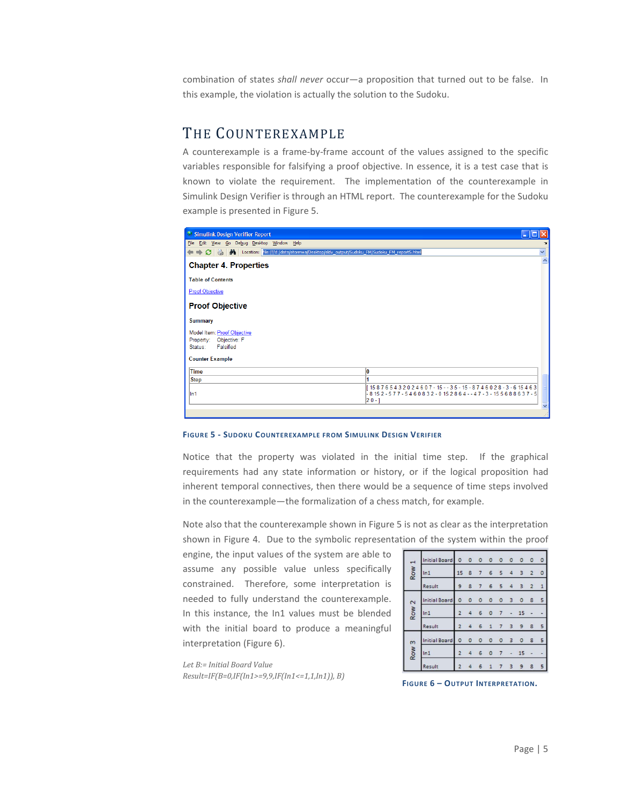combination of states *shall never* occur—a proposition that turned out to be false. In this example, the violation is actually the solution to the Sudoku.

#### THE COUNTEREXAMPLE

A counterexample is a frame-by-frame account of the values assigned to the specific variables responsible for falsifying a proof objective. In essence, it is a test case that is known to violate the requirement. The implementation of the counterexample in Simulink Design Verifier is through an HTML report. The counterexample for the Sudoku example is presented in Figure 5.

| Simulink Design Verifier Report                                                                           |                                                                           |
|-----------------------------------------------------------------------------------------------------------|---------------------------------------------------------------------------|
| Edit View Go Debug Desktop Window Help<br>Eile                                                            |                                                                           |
| → C $\otimes$   A   Location: iie:///d:/data/stormwa/Desktop/sldv_output/Sudoku_FM/Sudoku_FM_report5.html | v                                                                         |
| <b>Chapter 4. Properties</b>                                                                              |                                                                           |
| <b>Table of Contents</b>                                                                                  |                                                                           |
| <b>Proof Objective</b>                                                                                    |                                                                           |
| <b>Proof Objective</b>                                                                                    |                                                                           |
| <b>Summary</b>                                                                                            |                                                                           |
| Model Item: Proof Objective                                                                               |                                                                           |
| Property: Objective: F                                                                                    |                                                                           |
| Falsified<br>Status:                                                                                      |                                                                           |
| <b>Counter Example</b>                                                                                    |                                                                           |
| <b>Time</b>                                                                                               | ١O                                                                        |
| <b>Step</b>                                                                                               |                                                                           |
|                                                                                                           | [158765432024607-15--35-15-8746028-3-615463]                              |
| lln1                                                                                                      | $-8152 - 577 - 5460832 - 0152864 - -47 - 3 - 155688637 - 5$<br>$ 20 - 1 $ |
|                                                                                                           |                                                                           |
|                                                                                                           |                                                                           |

**FIGURE 5 - SUDOKU COUNTEREXAMPLE FROM SIMULINK DESIGN VERIFIER**

Notice that the property was violated in the initial time step. If the graphical requirements had any state information or history, or if the logical proposition had inherent temporal connectives, then there would be a sequence of time steps involved in the counterexample—the formalization of a chess match, for example.

Note also that the counterexample shown in Figure 5 is not as clear as the interpretation shown in Figure 4. Due to the symbolic representation of the system within the proof

engine, the input values of the system are able to assume any possible value unless specifically constrained. Therefore, some interpretation is needed to fully understand the counterexample. In this instance, the In1 values must be blended with the initial board to produce a meaningful interpretation (Figure 6).

| 1<br>Row         | <b>Initial Board</b> |                |         |                   |              | 0 0 0 0 0 0         |                | $\circ$        | $\circ$                  | $\circ$                  |
|------------------|----------------------|----------------|---------|-------------------|--------------|---------------------|----------------|----------------|--------------------------|--------------------------|
|                  | ln <sub>1</sub>      |                |         |                   |              | 15 8 7 6 5 4        |                | $\overline{3}$ | $\overline{2}$           | $\circ$                  |
|                  | Result               | $\overline{9}$ |         | 8 7               |              | $6 \quad 5 \quad 4$ |                | $\overline{3}$ | $\overline{2}$           | $\mathbf{1}$             |
|                  | <b>Initial Board</b> |                |         | $0\quad 0\quad 0$ | $\circ$      | 0 <sup>3</sup>      |                | $\circ$        | 8                        | $\overline{\phantom{a}}$ |
| Row <sub>2</sub> | ln 1                 | $\overline{2}$ | 4       | 6                 | $\circ$      | $7 -$               |                | 15             |                          |                          |
|                  | Result               | $\overline{2}$ |         | 46                | $\mathbf{1}$ | 7                   | $\overline{3}$ | 9              | 8                        | $\overline{5}$           |
| m<br>Row         | <b>Initial Board</b> | $\circ$        | $\circ$ | $\circ$           | $\circ$      | 0 <sub>3</sub>      |                | $\circ$        | 8                        | 5                        |
|                  | ln 1                 | $\overline{2}$ |         | 46                | $\circ$      |                     | $7 -$          | 15             | $\overline{\phantom{a}}$ |                          |
|                  | Result               | $\overline{2}$ | 4       | 6                 | $\mathbf{1}$ | $\overline{7}$      | 3              | 9              | 8                        | 5                        |

*Let B:= Initial Board Value Result=IF(B=0,IF(In1>=9,9,IF(In1<=1,1,In1)), B)* **FIGURE 6 – OUTPUT INTERPRETATION.**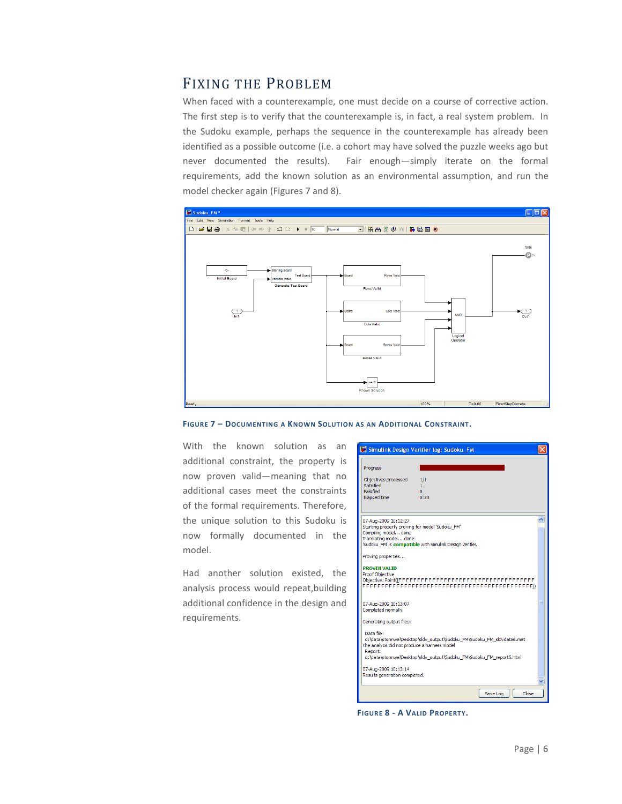#### FIXING THE PROBLEM

When faced with a counterexample, one must decide on a course of corrective action. The first step is to verify that the counterexample is, in fact, a real system problem. In the Sudoku example, perhaps the sequence in the counterexample has already been identified as a possible outcome (i.e. a cohort may have solved the puzzle weeks ago but never documented the results). Fair enough—simply iterate on the formal requirements, add the known solution as an environmental assumption, and run the model checker again (Figures 7 and 8).



**FIGURE 7 – DOCUMENTING A KNOWN SOLUTION AS AN ADDITIONAL CONSTRAINT.**

With the known solution as an additional constraint, the property is now proven valid—meaning that no additional cases meet the constraints of the formal requirements. Therefore, the unique solution to this Sudoku is now formally documented in the model.

Had another solution existed, the analysis process would repeat,building additional confidence in the design and requirements.

|                                                                         | Simulink Design Verifier log: Sudoku_FM                               |  |
|-------------------------------------------------------------------------|-----------------------------------------------------------------------|--|
| Progress                                                                |                                                                       |  |
| Objectives processed<br>Satisfied<br><b>Falcified</b>                   | 1/1<br>1<br>n                                                         |  |
| Elapsed time                                                            | 0:23                                                                  |  |
| 07-Aug-2009 10:12:27<br>Starting property proving for model 'Sudoku FM' |                                                                       |  |
| Compiling model done                                                    |                                                                       |  |
| Translating model done                                                  |                                                                       |  |
|                                                                         | 'Sudoku FM' is compatible with Simulink Design Verifier.              |  |
| Proving properties                                                      |                                                                       |  |
| <b>PROVEN VALID</b>                                                     |                                                                       |  |
| <b>Proof Objective</b>                                                  |                                                                       |  |
|                                                                         |                                                                       |  |
|                                                                         |                                                                       |  |
|                                                                         |                                                                       |  |
| 07-Aug-2009 10:13:07<br>Completed normally.                             |                                                                       |  |
|                                                                         |                                                                       |  |
| Generating output files:                                                |                                                                       |  |
| Data file:                                                              |                                                                       |  |
|                                                                         | d:\data\stormwa\Desktop\sldv_output\Sudoku_FM\Sudoku_FM_sldvdata6.mat |  |
| The analysis did not produce a harness model<br>Report:                 |                                                                       |  |
|                                                                         | d:\data\stormwa\Desktop\sldv output\Sudoku FM\Sudoku FM report6.html  |  |
| 07-Aug-2009 10:13:14                                                    |                                                                       |  |
| Results generation completed.                                           |                                                                       |  |
|                                                                         |                                                                       |  |
|                                                                         | Close<br>Save Log                                                     |  |

**FIGURE 8 - A VALID PROPERTY.**